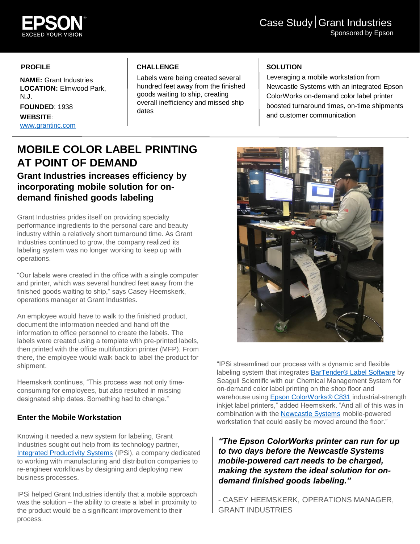

### **PROFILE**

**NAME:** Grant Industries **LOCATION:** Elmwood Park, N.J. **FOUNDED**: 1938 **WEBSITE**: [www.grantinc.com](http://www.grantinc.com/)

# **CHALLENGE**

Labels were being created several hundred feet away from the finished goods waiting to ship, creating overall inefficiency and missed ship dates

# **SOLUTION**

Leveraging a mobile workstation from Newcastle Systems with an integrated Epson ColorWorks on-demand color label printer boosted turnaround times, on-time shipments and customer communication

# **MOBILE COLOR LABEL PRINTING AT POINT OF DEMAND**

**Grant Industries increases efficiency by incorporating mobile solution for ondemand finished goods labeling**

Grant Industries prides itself on providing specialty performance ingredients to the personal care and beauty industry within a relatively short turnaround time. As Grant Industries continued to grow, the company realized its labeling system was no longer working to keep up with operations.

"Our labels were created in the office with a single computer and printer, which was several hundred feet away from the finished goods waiting to ship," says Casey Heemskerk, operations manager at Grant Industries.

An employee would have to walk to the finished product, document the information needed and hand off the information to office personnel to create the labels. The labels were created using a template with pre-printed labels, then printed with the office multifunction printer (MFP). From there, the employee would walk back to label the product for shipment.

Heemskerk continues, "This process was not only timeconsuming for employees, but also resulted in missing designated ship dates. Something had to change."

## **Enter the Mobile Workstation**

Knowing it needed a new system for labeling, Grant Industries sought out help from its technology partner, [Integrated Productivity Systems](https://ipsiscan.com/) (IPSi), a company dedicated to working with manufacturing and distribution companies to re-engineer workflows by designing and deploying new business processes.

IPSi helped Grant Industries identify that a mobile approach was the solution – the ability to create a label in proximity to the product would be a significant improvement to their process.



"IPSi streamlined our process with a dynamic and flexible labeling system that integrates [BarTender® Label Software](https://www.bartendersoftware.com/software/) by Seagull Scientific with our Chemical Management System for on-demand color label printing on the shop floor and warehouse using [Epson ColorWorks® C831](https://epson.com/For-Work/Printers/Label/ColorWorks-C831-Inkjet-Label-Printer/p/C11CC68121) industrial-strength inkjet label printers," added Heemskerk. "And all of this was in combination with the **[Newcastle Systems](https://www.newcastlesys.com/)** mobile-powered workstation that could easily be moved around the floor."

*"The Epson ColorWorks printer can run for up to two days before the Newcastle Systems mobile-powered cart needs to be charged, making the system the ideal solution for ondemand finished goods labeling."* 

- CASEY HEEMSKERK, OPERATIONS MANAGER, GRANT INDUSTRIES